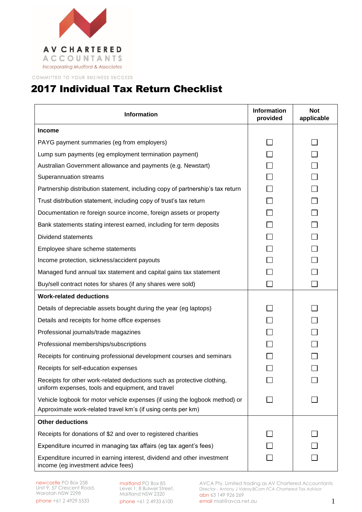

COMMITTED TO YOUR BUSINESS SUCCESS

## 2017 Individual Tax Return Checklist

| <b>Information</b>                                                                                                                          | <b>Information</b><br>provided | <b>Not</b><br>applicable |
|---------------------------------------------------------------------------------------------------------------------------------------------|--------------------------------|--------------------------|
| Income                                                                                                                                      |                                |                          |
| PAYG payment summaries (eg from employers)                                                                                                  |                                |                          |
| Lump sum payments (eg employment termination payment)                                                                                       |                                |                          |
| Australian Government allowance and payments (e.g. Newstart)                                                                                |                                |                          |
| Superannuation streams                                                                                                                      |                                |                          |
| Partnership distribution statement, including copy of partnership's tax return                                                              |                                |                          |
| Trust distribution statement, including copy of trust's tax return                                                                          |                                |                          |
| Documentation re foreign source income, foreign assets or property                                                                          |                                |                          |
| Bank statements stating interest earned, including for term deposits                                                                        |                                |                          |
| Dividend statements                                                                                                                         |                                |                          |
| Employee share scheme statements                                                                                                            |                                |                          |
| Income protection, sickness/accident payouts                                                                                                |                                |                          |
| Managed fund annual tax statement and capital gains tax statement                                                                           |                                |                          |
| Buy/sell contract notes for shares (if any shares were sold)                                                                                |                                |                          |
| <b>Work-related deductions</b>                                                                                                              |                                |                          |
| Details of depreciable assets bought during the year (eg laptops)                                                                           |                                |                          |
| Details and receipts for home office expenses                                                                                               |                                |                          |
| Professional journals/trade magazines                                                                                                       |                                |                          |
| Professional memberships/subscriptions                                                                                                      |                                |                          |
| Receipts for continuing professional development courses and seminars                                                                       |                                |                          |
| Receipts for self-education expenses                                                                                                        |                                |                          |
| Receipts for other work-related deductions such as protective clothing,<br>uniform expenses, tools and equipment, and travel                |                                |                          |
| Vehicle logbook for motor vehicle expenses (if using the logbook method) or<br>Approximate work-related travel km's (if using cents per km) |                                |                          |
| <b>Other deductions</b>                                                                                                                     |                                |                          |
| Receipts for donations of \$2 and over to registered charities                                                                              |                                |                          |
| Expenditure incurred in managing tax affairs (eg tax agent's fees)                                                                          |                                |                          |
| Expenditure incurred in earning interest, dividend and other investment<br>income (eg investment advice fees)                               |                                |                          |

maitland PO Box 85 Level 1, 8 Bulwer Street, Maitland NSW 2320 phone +61 2 4933 6100

AVCA Pty. Limited trading as AV Chartered Accountants Director - Antony J Vidray*BCom FCA Chartered Tax Advisor* abn 63 149 926 269